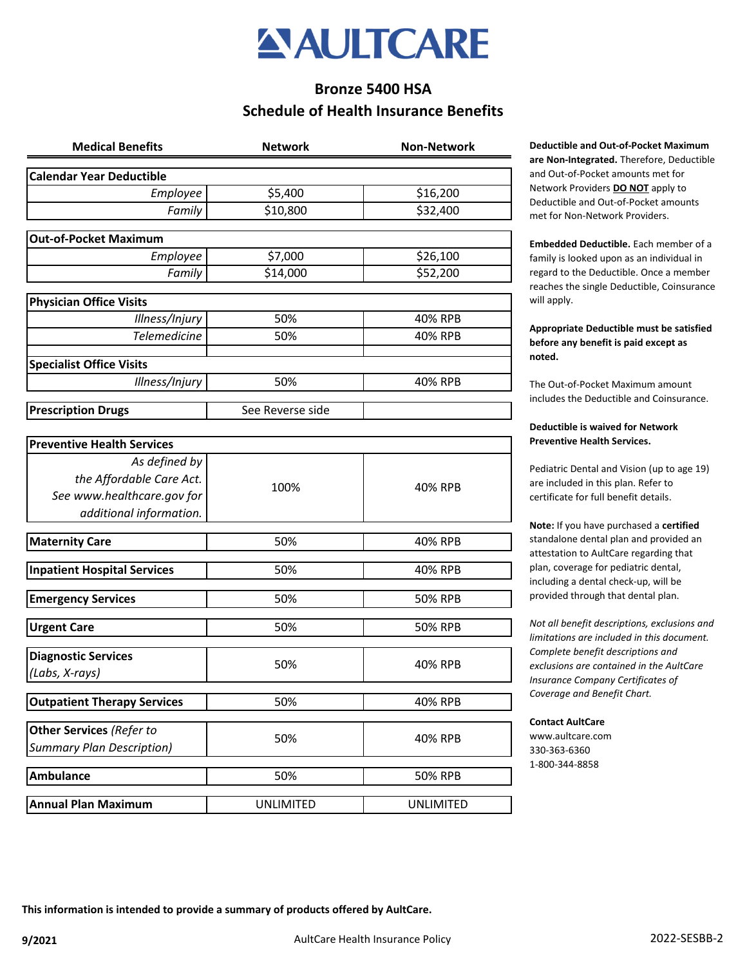

# **Schedule of Health Insurance Benefits Bronze 5400 HSA**

| <b>Medical Benefits</b>            | <b>Network</b>   | <b>Non-Network</b> |
|------------------------------------|------------------|--------------------|
| <b>Calendar Year Deductible</b>    |                  |                    |
| Employee                           | \$5,400          | \$16,200           |
| Family                             | \$10,800         | \$32,400           |
| <b>Out-of-Pocket Maximum</b>       |                  |                    |
| Employee                           | \$7,000          | \$26,100           |
| Family                             | \$14,000         | \$52,200           |
| <b>Physician Office Visits</b>     |                  |                    |
| Illness/Injury                     | 50%              | 40% RPB            |
| <b>Telemedicine</b>                | 50%              | 40% RPB            |
| <b>Specialist Office Visits</b>    |                  |                    |
| Illness/Injury                     | 50%              | 40% RPB            |
| <b>Prescription Drugs</b>          | See Reverse side |                    |
| <b>Preventive Health Services</b>  |                  |                    |
| As defined by                      |                  |                    |
| the Affordable Care Act.           |                  | 40% RPB            |
| See www.healthcare.gov for         | 100%             |                    |
| additional information.            |                  |                    |
| <b>Maternity Care</b>              | 50%              | 40% RPB            |
| <b>Inpatient Hospital Services</b> | 50%              | 40% RPB            |
| <b>Emergency Services</b>          | 50%              | <b>50% RPB</b>     |
| <b>Urgent Care</b>                 | 50%              | <b>50% RPB</b>     |
|                                    |                  |                    |
| <b>Diagnostic Services</b>         | 50%              | 40% RPB            |
| (Labs, X-rays)                     |                  |                    |
| <b>Outpatient Therapy Services</b> | 50%              | 40% RPB            |
| Other Services (Refer to           |                  |                    |
| <b>Summary Plan Description)</b>   | 50%              | 40% RPB            |
| <b>Ambulance</b>                   | 50%              | 50% RPB            |
| <b>Annual Plan Maximum</b>         | <b>UNLIMITED</b> | <b>UNLIMITED</b>   |

**Meductible and Out-of-Pocket Maximum are Non-Integrated.** Therefore, Deductible and Out-of-Pocket amounts met for Network Providers **DO NOT** apply to Deductible and Out-of-Pocket amounts met for Non-Network Providers.

**Embedded Deductible.** Each member of a family is looked upon as an individual in regard to the Deductible. Once a member reaches the single Deductible, Coinsurance will apply.

## **Appropriate Deductible must be satisfied before any benefit is paid except as noted.**

The Out-of-Pocket Maximum amount includes the Deductible and Coinsurance.

## **Deductible is waived for Network Preventive Health Services.**

Pediatric Dental and Vision (up to age 19) are included in this plan. Refer to certificate for full benefit details.

**Note:** If you have purchased a **certified**  standalone dental plan and provided an attestation to AultCare regarding that plan, coverage for pediatric dental, including a dental check-up, will be provided through that dental plan.

*Not all benefit descriptions, exclusions and limitations are included in this document. Complete benefit descriptions and exclusions are contained in the AultCare Insurance Company Certificates of Coverage and Benefit Chart.* 

#### **Contact AultCare**

www.aultcare.com 330-363-6360 1-800-344-8858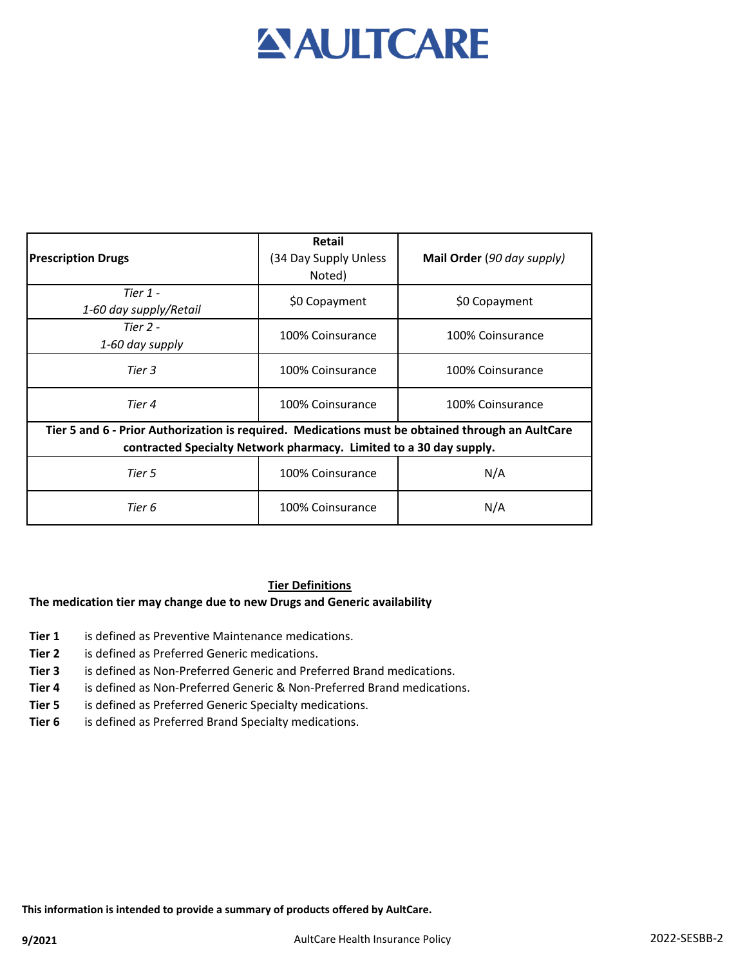# **AULTCARE**

| <b>Prescription Drugs</b>                                                                                                                                              | <b>Retail</b><br>(34 Day Supply Unless<br>Noted) | Mail Order (90 day supply) |  |  |
|------------------------------------------------------------------------------------------------------------------------------------------------------------------------|--------------------------------------------------|----------------------------|--|--|
| Tier $1 -$<br>1-60 day supply/Retail                                                                                                                                   | \$0 Copayment                                    | \$0 Copayment              |  |  |
| Tier $2 -$<br>1-60 day supply                                                                                                                                          | 100% Coinsurance                                 | 100% Coinsurance           |  |  |
| Tier 3                                                                                                                                                                 | 100% Coinsurance                                 | 100% Coinsurance           |  |  |
| Tier 4                                                                                                                                                                 | 100% Coinsurance                                 | 100% Coinsurance           |  |  |
| Tier 5 and 6 - Prior Authorization is required. Medications must be obtained through an AultCare<br>contracted Specialty Network pharmacy. Limited to a 30 day supply. |                                                  |                            |  |  |
| Tier 5                                                                                                                                                                 | 100% Coinsurance                                 | N/A                        |  |  |
| Tier 6                                                                                                                                                                 | 100% Coinsurance                                 | N/A                        |  |  |

## **Tier Definitions**

## **The medication tier may change due to new Drugs and Generic availability**

- **Tier 1** is defined as Preventive Maintenance medications.
- **Tier 2** is defined as Preferred Generic medications.
- **Tier 3** is defined as Non-Preferred Generic and Preferred Brand medications.
- **Tier 4** is defined as Non-Preferred Generic & Non-Preferred Brand medications.
- **Tier 5** is defined as Preferred Generic Specialty medications.
- **Tier 6** is defined as Preferred Brand Specialty medications.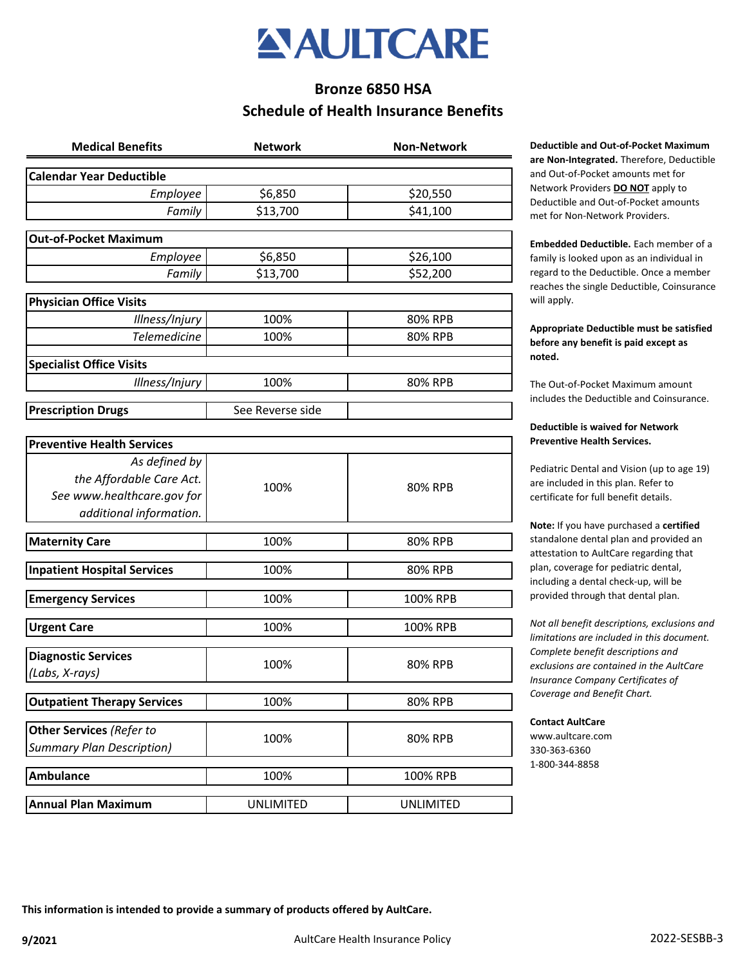

# **Bronze 6850 HSA Schedule of Health Insurance Benefits**

| <b>Medical Benefits</b>                                      | <b>Network</b>   | <b>Non-Network</b> |
|--------------------------------------------------------------|------------------|--------------------|
| <b>Calendar Year Deductible</b>                              |                  |                    |
| Employee                                                     | \$6,850          | \$20,550           |
| Family                                                       | \$13,700         | \$41,100           |
| <b>Out-of-Pocket Maximum</b>                                 |                  |                    |
| Employee                                                     | \$6,850          | \$26,100           |
| Family                                                       | \$13,700         | \$52,200           |
| <b>Physician Office Visits</b>                               |                  |                    |
| Illness/Injury                                               | 100%             | 80% RPB            |
| <b>Telemedicine</b>                                          | 100%             | 80% RPB            |
| <b>Specialist Office Visits</b>                              |                  |                    |
| Illness/Injury                                               | 100%             | 80% RPB            |
| <b>Prescription Drugs</b>                                    | See Reverse side |                    |
| <b>Preventive Health Services</b>                            |                  |                    |
| As defined by                                                |                  |                    |
| the Affordable Care Act.                                     |                  | 80% RPB            |
| See www.healthcare.gov for                                   | 100%             |                    |
| additional information.                                      |                  |                    |
| <b>Maternity Care</b>                                        | 100%             | 80% RPB            |
| <b>Inpatient Hospital Services</b>                           | 100%             | 80% RPB            |
| <b>Emergency Services</b>                                    | 100%             | 100% RPB           |
| <b>Urgent Care</b>                                           | 100%             | 100% RPB           |
| <b>Diagnostic Services</b>                                   |                  |                    |
| (Labs, X-rays)                                               | 100%             | 80% RPB            |
| <b>Outpatient Therapy Services</b>                           | 100%             | 80% RPB            |
|                                                              |                  |                    |
| Other Services (Refer to<br><b>Summary Plan Description)</b> | 100%             | 80% RPB            |
|                                                              |                  |                    |
| <b>Ambulance</b>                                             | 100%             | 100% RPB           |
| <b>Annual Plan Maximum</b>                                   | <b>UNLIMITED</b> | <b>UNLIMITED</b>   |
|                                                              |                  |                    |

**Deductible and Out-of-Pocket Maximum are Non-Integrated.** Therefore, Deductible and Out-of-Pocket amounts met for Network Providers **DO NOT** apply to Deductible and Out-of-Pocket amounts met for Non-Network Providers.

**Embedded Deductible.** Each member of a family is looked upon as an individual in regard to the Deductible. Once a member reaches the single Deductible, Coinsurance will apply.

## **Appropriate Deductible must be satisfied before any benefit is paid except as noted.**

The Out-of-Pocket Maximum amount includes the Deductible and Coinsurance.

## **Deductible is waived for Network Preventive Health Services.**

Pediatric Dental and Vision (up to age 19) are included in this plan. Refer to certificate for full benefit details.

**Note:** If you have purchased a **certified**  standalone dental plan and provided an attestation to AultCare regarding that plan, coverage for pediatric dental, including a dental check-up, will be provided through that dental plan.

*Not all benefit descriptions, exclusions and limitations are included in this document. Complete benefit descriptions and exclusions are contained in the AultCare Insurance Company Certificates of Coverage and Benefit Chart.* 

#### **Contact AultCare**

www.aultcare.com 330-363-6360 1-800-344-8858